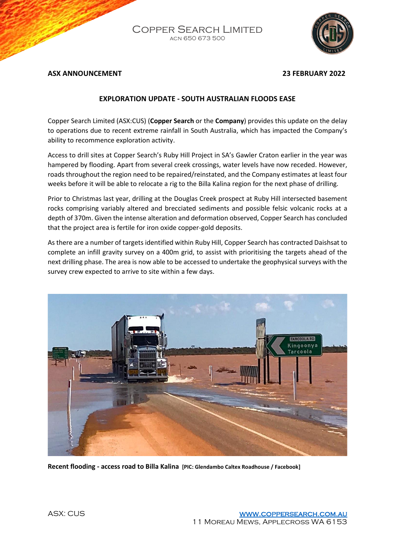Copper Search Limited acn 650 673 500



#### **ASX ANNOUNCEMENT 23 FEBRUARY 2022**

### **EXPLORATION UPDATE - SOUTH AUSTRALIAN FLOODS EASE**

Copper Search Limited (ASX:CUS) (**Copper Search** or the **Company**) provides this update on the delay to operations due to recent extreme rainfall in South Australia, which has impacted the Company's ability to recommence exploration activity.

Access to drill sites at Copper Search's Ruby Hill Project in SA's Gawler Craton earlier in the year was hampered by flooding. Apart from several creek crossings, water levels have now receded. However, roads throughout the region need to be repaired/reinstated, and the Company estimates at least four weeks before it will be able to relocate a rig to the Billa Kalina region for the next phase of drilling.

Prior to Christmas last year, drilling at the Douglas Creek prospect at Ruby Hill intersected basement rocks comprising variably altered and brecciated sediments and possible felsic volcanic rocks at a depth of 370m. Given the intense alteration and deformation observed, Copper Search has concluded that the project area is fertile for iron oxide copper-gold deposits.

As there are a number of targets identified within Ruby Hill, Copper Search has contracted Daishsat to complete an infill gravity survey on a 400m grid, to assist with prioritising the targets ahead of the next drilling phase. The area is now able to be accessed to undertake the geophysical surveys with the survey crew expected to arrive to site within a few days.



**Recent flooding - access road to Billa Kalina [PIC: Glendambo Caltex Roadhouse / Facebook]**